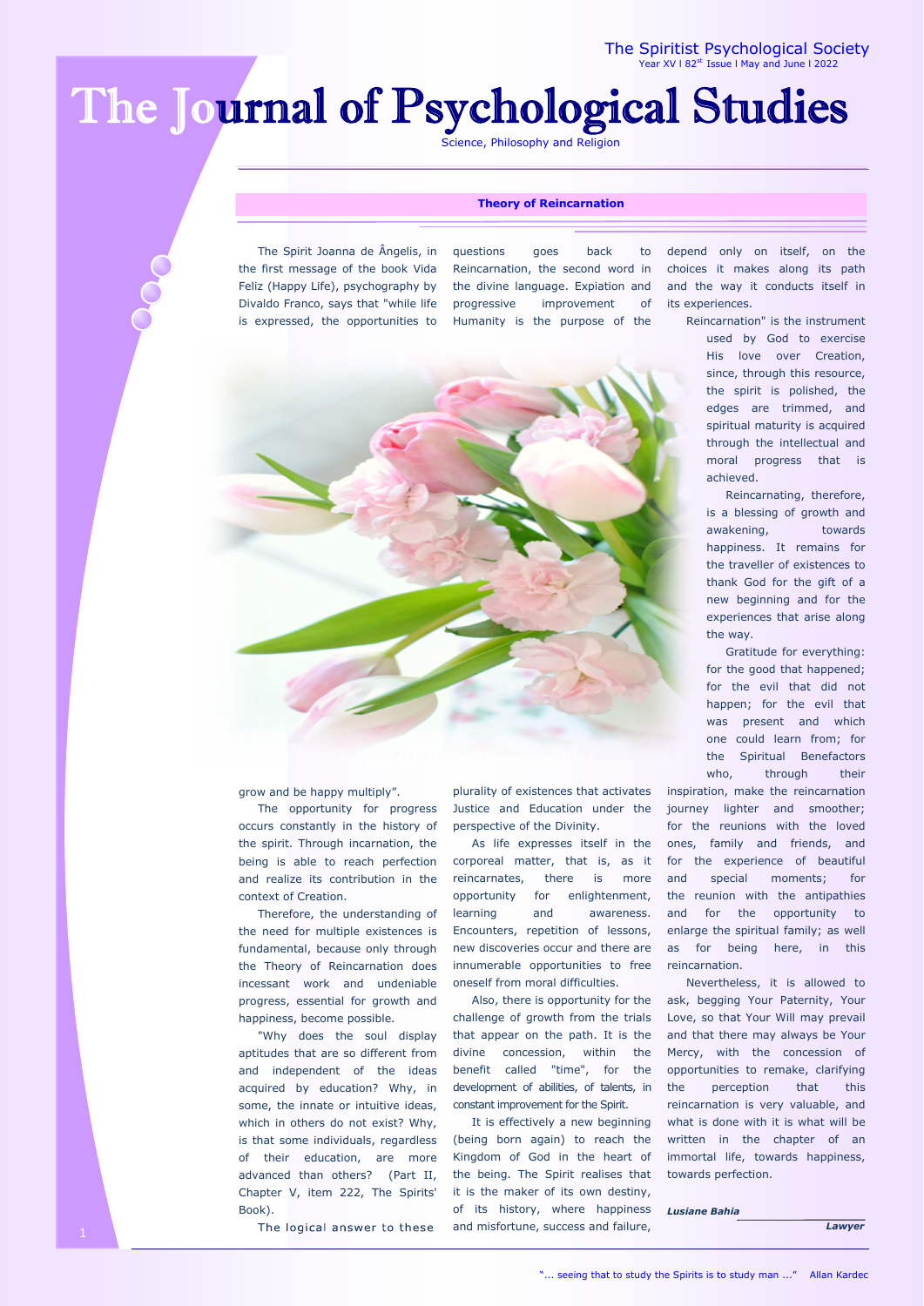The Spiritist Psychological Society 182st Issue I May and June I 2022

# The Journal of Psychological Studies

Science, Philosophy and Religion

### **Theory of Reincarnation**

 The Spirit Joanna de Ângelis, in the first message of the book Vida Feliz (Happy Life), psychography by Divaldo Franco, says that "while life is expressed, the opportunities to questions goes back to Reincarnation, the second word in the divine language. Expiation and progressive improvement of Humanity is the purpose of the



grow and be happy multiply".

 The opportunity for progress occurs constantly in the history of the spirit. Through incarnation, the being is able to reach perfection and realize its contribution in the context of Creation.

 Therefore, the understanding of the need for multiple existences is fundamental, because only through the Theory of Reincarnation does incessant work and undeniable progress, essential for growth and happiness, become possible.

 "Why does the soul display aptitudes that are so different from and independent of the ideas acquired by education? Why, in some, the innate or intuitive ideas, which in others do not exist? Why, is that some individuals, regardless of their education, are more advanced than others? (Part II, Chapter V, item 222, The Spirits' Book).

plurality of existences that activates Justice and Education under the perspective of the Divinity.

 As life expresses itself in the corporeal matter, that is, as it reincarnates, there is more opportunity for enlightenment, learning and awareness. Encounters, repetition of lessons, new discoveries occur and there are innumerable opportunities to free oneself from moral difficulties.

 Also, there is opportunity for the challenge of growth from the trials that appear on the path. It is the divine concession, within the benefit called "time", for the development of abilities, of talents, in constant improvement for the Spirit.

 It is effectively a new beginning (being born again) to reach the Kingdom of God in the heart of the being. The Spirit realises that it is the maker of its own destiny, of its history, where happiness The logical answer to these and misfortune, success and failure,

depend only on itself, on the choices it makes along its path and the way it conducts itself in its experiences.

> Reincarnation" is the instrument used by God to exercise His love over Creation, since, through this resource, the spirit is polished, the edges are trimmed, and spiritual maturity is acquired through the intellectual and moral progress that is achieved.

> > Reincarnating, therefore, is a blessing of growth and awakening, towards happiness. It remains for the traveller of existences to thank God for the gift of a new beginning and for the experiences that arise along the way.

 Gratitude for everything: for the good that happened; for the evil that did not happen; for the evil that was present and which one could learn from; for the Spiritual Benefactors who, through their inspiration, make the reincarnation

journey lighter and smoother; for the reunions with the loved ones, family and friends, and for the experience of beautiful and special moments; for the reunion with the antipathies and for the opportunity to enlarge the spiritual family; as well as for being here, in this reincarnation.

 Nevertheless, it is allowed to ask, begging Your Paternity, Your Love, so that Your Will may prevail and that there may always be Your Mercy, with the concession of opportunities to remake, clarifying the perception that this reincarnation is very valuable, and what is done with it is what will be written in the chapter of an immortal life, towards happiness, towards perfection.

*Lusiane Bahia* 

 *Lawyer*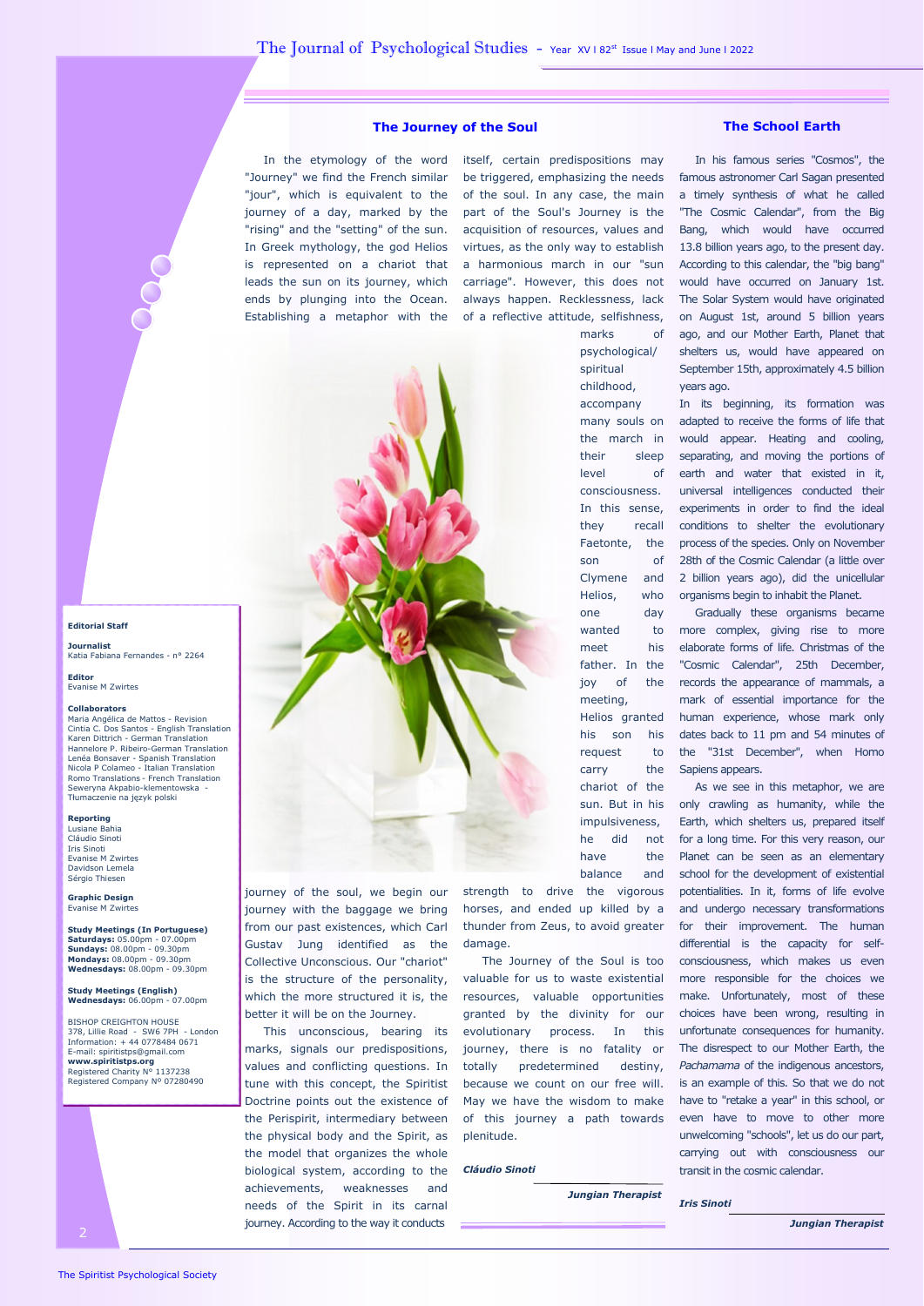## **The Journey of the Soul The School Earth**

 In the etymology of the word itself, certain predispositions may "Journey" we find the French similar be triggered, emphasizing the needs "jour", which is equivalent to the of the soul. In any case, the main journey of a day, marked by the part of the Soul's Journey is the "rising" and the "setting" of the sun. In Greek mythology, the god Helios is represented on a chariot that leads the sun on its journey, which ends by plunging into the Ocean. Establishing a metaphor with the of a reflective attitude, selfishness,

acquisition of resources, values and virtues, as the only way to establish a harmonious march in our "sun carriage". However, this does not always happen. Recklessness, lack



spiritual childhood, accompany many souls on the march in their sleep level of consciousness. In this sense, they recall Faetonte, the son of Clymene and Helios, who one day wanted to meet his father. In the joy of the meeting, Helios granted his son his request to carry the chariot of the sun. But in his impulsiveness, he did not have the balance and

strength to drive the vigorous horses, and ended up killed by a thunder from Zeus, to avoid greater damage.

 The Journey of the Soul is too valuable for us to waste existential resources, valuable opportunities granted by the divinity for our evolutionary process. In this journey, there is no fatality or totally predetermined destiny, because we count on our free will. May we have the wisdom to make of this journey a path towards plenitude.

#### *Cláudio Sinoti*

 *Jungian Therapist* 

 In his famous series "Cosmos", the famous astronomer Carl Sagan presented a timely synthesis of what he called "The Cosmic Calendar", from the Big Bang, which would have occurred 13.8 billion years ago, to the present day. According to this calendar, the "big bang" would have occurred on January 1st. The Solar System would have originated on August 1st, around 5 billion years ago, and our Mother Earth, Planet that shelters us, would have appeared on September 15th, approximately 4.5 billion years ago.

In its beginning, its formation was adapted to receive the forms of life that would appear. Heating and cooling, separating, and moving the portions of earth and water that existed in it, universal intelligences conducted their experiments in order to find the ideal conditions to shelter the evolutionary process of the species. Only on November 28th of the Cosmic Calendar (a little over 2 billion years ago), did the unicellular organisms begin to inhabit the Planet.

 Gradually these organisms became more complex, giving rise to more elaborate forms of life. Christmas of the "Cosmic Calendar", 25th December, records the appearance of mammals, a mark of essential importance for the human experience, whose mark only dates back to 11 pm and 54 minutes of the "31st December", when Homo Sapiens appears.

 As we see in this metaphor, we are only crawling as humanity, while the Earth, which shelters us, prepared itself for a long time. For this very reason, our Planet can be seen as an elementary school for the development of existential potentialities. In it, forms of life evolve and undergo necessary transformations for their improvement. The human differential is the capacity for selfconsciousness, which makes us even more responsible for the choices we make. Unfortunately, most of these choices have been wrong, resulting in unfortunate consequences for humanity. The disrespect to our Mother Earth, the *Pachamama* of the indigenous ancestors, is an example of this. So that we do not have to "retake a year" in this school, or even have to move to other more unwelcoming "schools", let us do our part, carrying out with consciousness our transit in the cosmic calendar.

*Iris Sinoti* 

*Jungian Therapist* 

# **Editorial Staff Journalist**

Katia Fabiana Fernandes - n° 2264

**Editor** Evanise M Zwirtes

### **Collaborators**

Maria Angélica de Mattos - Revision Cintia C. Dos Santos - English Translation Karen Dittrich - German Translation Hannelore P. Ribeiro-German Translation Lenéa Bonsaver - Spanish Translation Nicola P Colameo - Italian Translation Romo Translations - French Translation Seweryna Akpabio-klementowska - Tłumaczenie na język polski

# **Reporting**  Lusiane Bahia

Cláudio Sinoti<br>Iris Sinoti Iris Sinoti Evanise M Zwirtes Davidson Lemela Sérgio Thiesen

**Graphic Design**  Evanise M Zwirt

**Study Meetings (In Portuguese) Saturdays:** 05.00pm - 07.00pm **Sundays:** 08.00pm - 09.30pm **Mondays:** 08.00pm - 09.30pm **Wednesdays:** 08.00pm - 09.30pm

**Study Meetings (English) Wednesdays:** 06.00pm - 07.00pm

BISHOP CREIGHTON HOUSE 378, Lillie Road - SW6 7PH - London Information: + 44 0778484 0671 E-mail: spiritistps@gmail.com **www.spiritistps.org**  Registered Charity N° 1137238 Registered Company Nº 07280490



journey of the soul, we begin our journey with the baggage we bring from our past existences, which Carl Gustav Jung identified as the Collective Unconscious. Our "chariot" is the structure of the personality, which the more structured it is, the better it will be on the Journey.

 This unconscious, bearing its marks, signals our predispositions, values and conflicting questions. In tune with this concept, the Spiritist Doctrine points out the existence of the Perispirit, intermediary between the physical body and the Spirit, as the model that organizes the whole biological system, according to the achievements, weaknesses and needs of the Spirit in its carnal journey. According to the way it conducts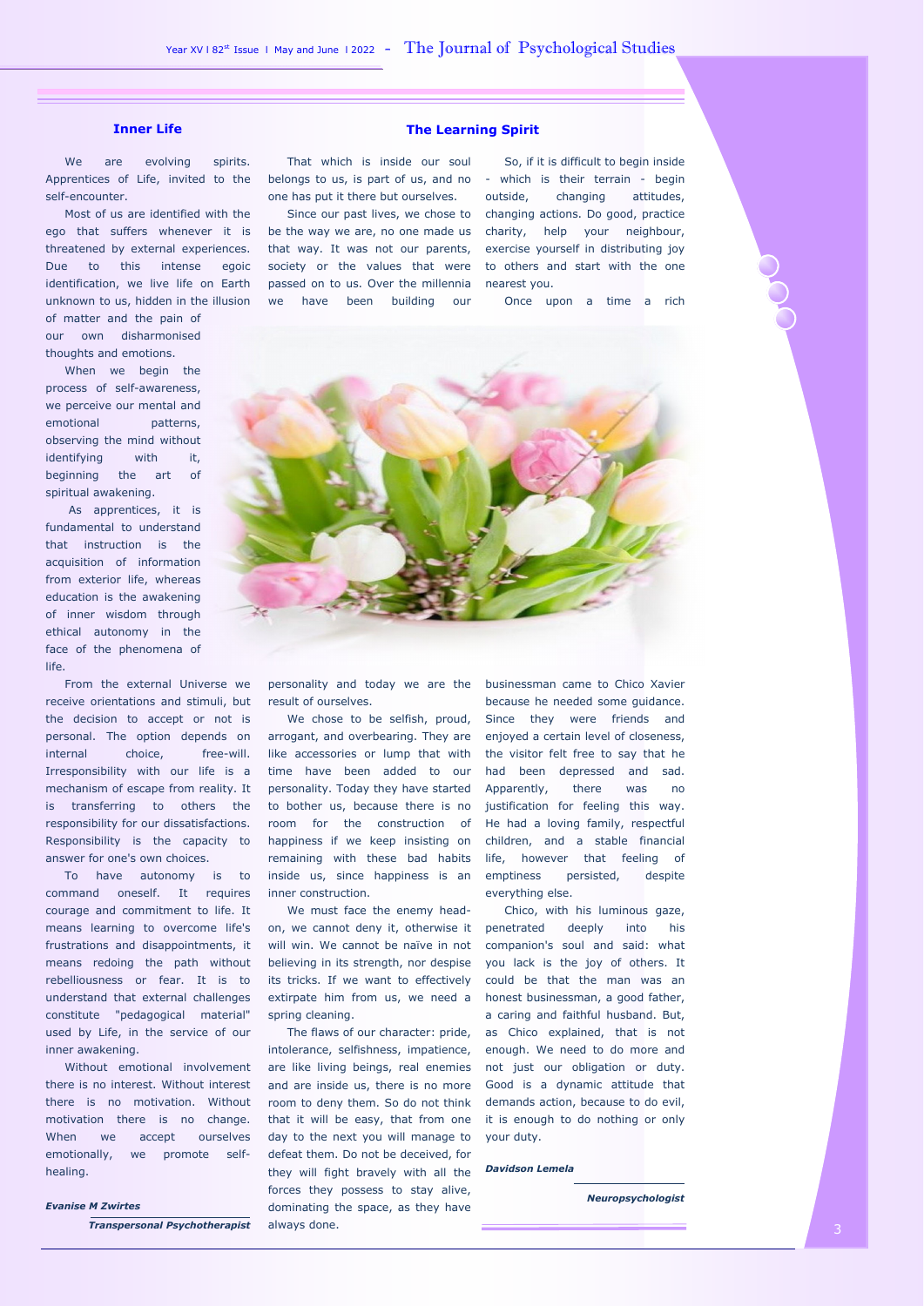We are evolving spirits. Apprentices of Life, invited to the self-encounter.

 Most of us are identified with the ego that suffers whenever it is threatened by external experiences. Due to this intense egoic identification, we live life on Earth unknown to us, hidden in the illusion of matter and the pain of

our own disharmonised thoughts and emotions.

 When we begin the process of self-awareness, we perceive our mental and emotional patterns, observing the mind without identifying with it, beginning the art of spiritual awakening.

 As apprentices, it is fundamental to understand that instruction is the acquisition of information from exterior life, whereas education is the awakening of inner wisdom through ethical autonomy in the face of the phenomena of life.

 From the external Universe we receive orientations and stimuli, but the decision to accept or not is personal. The option depends on internal choice, free-will. Irresponsibility with our life is a mechanism of escape from reality. It is transferring to others the responsibility for our dissatisfactions. Responsibility is the capacity to answer for one's own choices.

 To have autonomy is to command oneself. It requires courage and commitment to life. It means learning to overcome life's frustrations and disappointments, it means redoing the path without rebelliousness or fear. It is to understand that external challenges constitute "pedagogical material" used by Life, in the service of our inner awakening.

 Without emotional involvement there is no interest. Without interest there is no motivation. Without motivation there is no change. When we accept ourselves emotionally, we promote selfhealing.

### *Evanise M Zwirtes*

*Transpersonal Psychotherapist* 

# **Inner Life The Learning Spirit 1988**

 That which is inside our soul belongs to us, is part of us, and no - which is their terrain - begin one has put it there but ourselves.

 Since our past lives, we chose to changing actions. Do good, practice be the way we are, no one made us charity, help your neighbour, that way. It was not our parents, exercise yourself in distributing joy society or the values that were to others and start with the one passed on to us. Over the millennia nearest you. we have been building our

 So, if it is difficult to begin inside outside, changing attitudes,

Once upon a time a rich



result of ourselves.

We chose to be selfish, proud, arrogant, and overbearing. They are like accessories or lump that with time have been added to our personality. Today they have started to bother us, because there is no room for the construction of happiness if we keep insisting on remaining with these bad habits inside us, since happiness is an inner construction.

 We must face the enemy headon, we cannot deny it, otherwise it will win. We cannot be naïve in not believing in its strength, nor despise its tricks. If we want to effectively extirpate him from us, we need a spring cleaning.

 The flaws of our character: pride, intolerance, selfishness, impatience, are like living beings, real enemies and are inside us, there is no more room to deny them. So do not think that it will be easy, that from one day to the next you will manage to defeat them. Do not be deceived, for they will fight bravely with all the forces they possess to stay alive, dominating the space, as they have always done.

personality and today we are the businessman came to Chico Xavier because he needed some guidance. Since they were friends and enjoyed a certain level of closeness, the visitor felt free to say that he had been depressed and sad. Apparently, there was no justification for feeling this way. He had a loving family, respectful children, and a stable financial life, however that feeling of emptiness persisted, despite everything else.

> Chico, with his luminous gaze, penetrated deeply into his companion's soul and said: what you lack is the joy of others. It could be that the man was an honest businessman, a good father, a caring and faithful husband. But, as Chico explained, that is not enough. We need to do more and not just our obligation or duty. Good is a dynamic attitude that demands action, because to do evil, it is enough to do nothing or only your duty.

#### *Davidson Lemela*

 *Neuropsychologist*